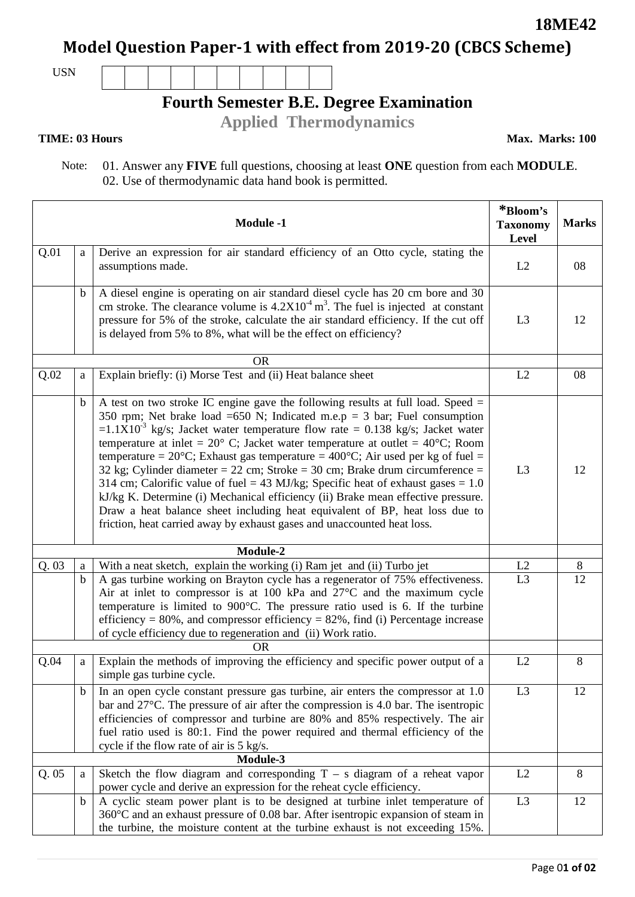**18ME42**

**Model Question Paper-1 with effect from 2019-20 (CBCS Scheme)**

USN

# **Fourth Semester B.E. Degree Examination**

**Applied Thermodynamics** 

### **TIME: 03 Hours**

**Max. Marks: 100**

 Note: 01. Answer any **FIVE** full questions, choosing at least **ONE** question from each **MODULE**. 02. Use of thermodynamic data hand book is permitted.

|      | *Bloom's<br><b>Taxonomy</b><br>Level | <b>Marks</b>                                                                                                                                                                                                                                                                                                                                                                                                                                                                                                                                                                                                                                                                                                                                                                                                                                                                                |                |       |
|------|--------------------------------------|---------------------------------------------------------------------------------------------------------------------------------------------------------------------------------------------------------------------------------------------------------------------------------------------------------------------------------------------------------------------------------------------------------------------------------------------------------------------------------------------------------------------------------------------------------------------------------------------------------------------------------------------------------------------------------------------------------------------------------------------------------------------------------------------------------------------------------------------------------------------------------------------|----------------|-------|
| Q.01 | a                                    | Derive an expression for air standard efficiency of an Otto cycle, stating the<br>assumptions made.                                                                                                                                                                                                                                                                                                                                                                                                                                                                                                                                                                                                                                                                                                                                                                                         | L2             | 08    |
|      | b                                    | A diesel engine is operating on air standard diesel cycle has 20 cm bore and 30<br>cm stroke. The clearance volume is $4.2X104 m3$ . The fuel is injected at constant<br>pressure for 5% of the stroke, calculate the air standard efficiency. If the cut off<br>is delayed from 5% to 8%, what will be the effect on efficiency?                                                                                                                                                                                                                                                                                                                                                                                                                                                                                                                                                           | L <sub>3</sub> | 12    |
|      |                                      | <b>OR</b>                                                                                                                                                                                                                                                                                                                                                                                                                                                                                                                                                                                                                                                                                                                                                                                                                                                                                   |                |       |
| Q.02 | a                                    | Explain briefly: (i) Morse Test and (ii) Heat balance sheet                                                                                                                                                                                                                                                                                                                                                                                                                                                                                                                                                                                                                                                                                                                                                                                                                                 | L2             | 08    |
|      | b                                    | A test on two stroke IC engine gave the following results at full load. Speed =<br>350 rpm; Net brake load =650 N; Indicated m.e.p = 3 bar; Fuel consumption<br>$=1.1\overline{X}10^{-3}$ kg/s; Jacket water temperature flow rate = 0.138 kg/s; Jacket water<br>temperature at inlet = $20^{\circ}$ C; Jacket water temperature at outlet = $40^{\circ}$ C; Room<br>temperature = $20^{\circ}$ C; Exhaust gas temperature = $400^{\circ}$ C; Air used per kg of fuel =<br>32 kg; Cylinder diameter = 22 cm; Stroke = 30 cm; Brake drum circumference =<br>314 cm; Calorific value of fuel = 43 MJ/kg; Specific heat of exhaust gases = $1.0$<br>kJ/kg K. Determine (i) Mechanical efficiency (ii) Brake mean effective pressure.<br>Draw a heat balance sheet including heat equivalent of BP, heat loss due to<br>friction, heat carried away by exhaust gases and unaccounted heat loss. | L <sub>3</sub> | 12    |
|      |                                      | Module-2                                                                                                                                                                                                                                                                                                                                                                                                                                                                                                                                                                                                                                                                                                                                                                                                                                                                                    |                |       |
| Q.03 | $\rm{a}$                             | With a neat sketch, explain the working (i) Ram jet and (ii) Turbo jet                                                                                                                                                                                                                                                                                                                                                                                                                                                                                                                                                                                                                                                                                                                                                                                                                      | L2             | $8\,$ |
|      | $\mathbf b$                          | A gas turbine working on Brayton cycle has a regenerator of 75% effectiveness.<br>Air at inlet to compressor is at 100 kPa and $27^{\circ}$ C and the maximum cycle<br>temperature is limited to 900°C. The pressure ratio used is 6. If the turbine<br>efficiency = $80\%$ , and compressor efficiency = $82\%$ , find (i) Percentage increase<br>of cycle efficiency due to regeneration and (ii) Work ratio.<br><b>OR</b>                                                                                                                                                                                                                                                                                                                                                                                                                                                                | L <sub>3</sub> | 12    |
| Q.04 | a                                    | Explain the methods of improving the efficiency and specific power output of a                                                                                                                                                                                                                                                                                                                                                                                                                                                                                                                                                                                                                                                                                                                                                                                                              | L2             | 8     |
|      |                                      | simple gas turbine cycle.                                                                                                                                                                                                                                                                                                                                                                                                                                                                                                                                                                                                                                                                                                                                                                                                                                                                   |                |       |
|      | $\mathbf b$                          | In an open cycle constant pressure gas turbine, air enters the compressor at 1.0<br>bar and $27^{\circ}$ C. The pressure of air after the compression is 4.0 bar. The isentropic<br>efficiencies of compressor and turbine are 80% and 85% respectively. The air<br>fuel ratio used is 80:1. Find the power required and thermal efficiency of the<br>cycle if the flow rate of air is 5 kg/s.                                                                                                                                                                                                                                                                                                                                                                                                                                                                                              | L <sub>3</sub> | 12    |
|      |                                      | Module-3                                                                                                                                                                                                                                                                                                                                                                                                                                                                                                                                                                                                                                                                                                                                                                                                                                                                                    |                |       |
| Q.05 | a                                    | Sketch the flow diagram and corresponding $T - s$ diagram of a reheat vapor<br>power cycle and derive an expression for the reheat cycle efficiency.                                                                                                                                                                                                                                                                                                                                                                                                                                                                                                                                                                                                                                                                                                                                        | L2             | 8     |
|      | $\mathbf b$                          | A cyclic steam power plant is to be designed at turbine inlet temperature of<br>360°C and an exhaust pressure of 0.08 bar. After isentropic expansion of steam in<br>the turbine, the moisture content at the turbine exhaust is not exceeding 15%.                                                                                                                                                                                                                                                                                                                                                                                                                                                                                                                                                                                                                                         | L <sub>3</sub> | 12    |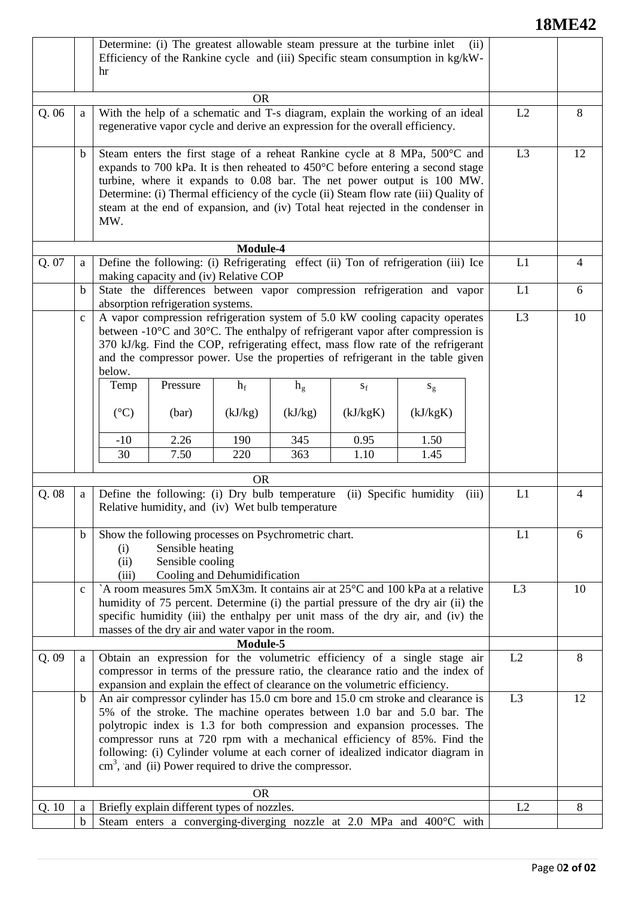## **18ME42**

|       |              | Determine: (i) The greatest allowable steam pressure at the turbine inlet<br>(ii)<br>Efficiency of the Rankine cycle and (iii) Specific steam consumption in kg/kW-<br>hr                                                                                                                                                                                                                                                                                                  |                                                                                                                                                                                                                                                                                                                                                                                                                              |                |         |                         |          |    |                |
|-------|--------------|----------------------------------------------------------------------------------------------------------------------------------------------------------------------------------------------------------------------------------------------------------------------------------------------------------------------------------------------------------------------------------------------------------------------------------------------------------------------------|------------------------------------------------------------------------------------------------------------------------------------------------------------------------------------------------------------------------------------------------------------------------------------------------------------------------------------------------------------------------------------------------------------------------------|----------------|---------|-------------------------|----------|----|----------------|
|       |              |                                                                                                                                                                                                                                                                                                                                                                                                                                                                            |                                                                                                                                                                                                                                                                                                                                                                                                                              | <b>OR</b>      |         |                         |          | L2 |                |
| Q.06  | a            | With the help of a schematic and T-s diagram, explain the working of an ideal<br>regenerative vapor cycle and derive an expression for the overall efficiency.                                                                                                                                                                                                                                                                                                             |                                                                                                                                                                                                                                                                                                                                                                                                                              |                |         |                         |          |    | 8              |
|       | b            | MW.                                                                                                                                                                                                                                                                                                                                                                                                                                                                        | Steam enters the first stage of a reheat Rankine cycle at 8 MPa, 500°C and<br>expands to 700 kPa. It is then reheated to $450^{\circ}$ C before entering a second stage<br>turbine, where it expands to 0.08 bar. The net power output is 100 MW.<br>Determine: (i) Thermal efficiency of the cycle (ii) Steam flow rate (iii) Quality of<br>steam at the end of expansion, and (iv) Total heat rejected in the condenser in | L <sub>3</sub> | 12      |                         |          |    |                |
|       |              |                                                                                                                                                                                                                                                                                                                                                                                                                                                                            |                                                                                                                                                                                                                                                                                                                                                                                                                              |                |         |                         |          |    |                |
| Q. 07 | a            | Define the following: (i) Refrigerating effect (ii) Ton of refrigeration (iii) Ice<br>making capacity and (iv) Relative COP                                                                                                                                                                                                                                                                                                                                                |                                                                                                                                                                                                                                                                                                                                                                                                                              |                |         |                         |          |    | $\overline{4}$ |
|       |              | State the differences between vapor compression refrigeration and vapor                                                                                                                                                                                                                                                                                                                                                                                                    | L1                                                                                                                                                                                                                                                                                                                                                                                                                           |                |         |                         |          |    |                |
|       | $\mathbf b$  |                                                                                                                                                                                                                                                                                                                                                                                                                                                                            |                                                                                                                                                                                                                                                                                                                                                                                                                              | 6              |         |                         |          |    |                |
|       | $\mathbf c$  | absorption refrigeration systems.<br>A vapor compression refrigeration system of 5.0 kW cooling capacity operates<br>between $-10^{\circ}$ C and $30^{\circ}$ C. The enthalpy of refrigerant vapor after compression is<br>370 kJ/kg. Find the COP, refrigerating effect, mass flow rate of the refrigerant<br>and the compressor power. Use the properties of refrigerant in the table given<br>below.                                                                    |                                                                                                                                                                                                                                                                                                                                                                                                                              |                |         |                         |          |    | 10             |
|       |              | Temp                                                                                                                                                                                                                                                                                                                                                                                                                                                                       | Pressure                                                                                                                                                                                                                                                                                                                                                                                                                     | $h_f$          | $h_{g}$ | $\mathbf{S}_\mathrm{f}$ | $S_g$    |    |                |
|       |              | $({}^{\circ}C)$                                                                                                                                                                                                                                                                                                                                                                                                                                                            | (bar)                                                                                                                                                                                                                                                                                                                                                                                                                        | (kJ/kg)        | (kJ/kg) | (kJ/kgK)                | (kJ/kgK) |    |                |
|       |              | $-10$                                                                                                                                                                                                                                                                                                                                                                                                                                                                      | 2.26                                                                                                                                                                                                                                                                                                                                                                                                                         | 190            | 345     | 0.95                    | 1.50     |    |                |
|       |              | 30                                                                                                                                                                                                                                                                                                                                                                                                                                                                         | 7.50                                                                                                                                                                                                                                                                                                                                                                                                                         | 220            | 363     | 1.10                    | 1.45     |    |                |
|       |              | <b>OR</b>                                                                                                                                                                                                                                                                                                                                                                                                                                                                  |                                                                                                                                                                                                                                                                                                                                                                                                                              |                |         |                         |          |    |                |
| Q.08  | a            | Define the following: (i) Dry bulb temperature<br>(ii) Specific humidity<br>(iii)<br>Relative humidity, and (iv) Wet bulb temperature                                                                                                                                                                                                                                                                                                                                      |                                                                                                                                                                                                                                                                                                                                                                                                                              |                |         |                         |          |    | 4              |
|       | b            | Show the following processes on Psychrometric chart.<br>(i)<br>(ii)<br>(iii)                                                                                                                                                                                                                                                                                                                                                                                               | L1                                                                                                                                                                                                                                                                                                                                                                                                                           | 6              |         |                         |          |    |                |
|       | $\mathbf{C}$ | Cooling and Dehumidification<br>`A room measures 5mX 5mX3m. It contains air at 25°C and 100 kPa at a relative<br>humidity of 75 percent. Determine (i) the partial pressure of the dry air (ii) the<br>specific humidity (iii) the enthalpy per unit mass of the dry air, and (iv) the<br>masses of the dry air and water vapor in the room.<br>Module-5                                                                                                                   |                                                                                                                                                                                                                                                                                                                                                                                                                              |                |         |                         |          |    | 10             |
|       |              |                                                                                                                                                                                                                                                                                                                                                                                                                                                                            | L2                                                                                                                                                                                                                                                                                                                                                                                                                           |                |         |                         |          |    |                |
| Q.09  | a            | Obtain an expression for the volumetric efficiency of a single stage air<br>compressor in terms of the pressure ratio, the clearance ratio and the index of<br>expansion and explain the effect of clearance on the volumetric efficiency.                                                                                                                                                                                                                                 |                                                                                                                                                                                                                                                                                                                                                                                                                              |                |         |                         |          |    | 8              |
|       | $\mathbf b$  | An air compressor cylinder has 15.0 cm bore and 15.0 cm stroke and clearance is<br>5% of the stroke. The machine operates between 1.0 bar and 5.0 bar. The<br>polytropic index is 1.3 for both compression and expansion processes. The<br>compressor runs at 720 rpm with a mechanical efficiency of 85%. Find the<br>following: (i) Cylinder volume at each corner of idealized indicator diagram in<br>$\text{cm}^3$ , and (ii) Power required to drive the compressor. |                                                                                                                                                                                                                                                                                                                                                                                                                              |                |         |                         |          |    | 12             |
|       |              | <b>OR</b>                                                                                                                                                                                                                                                                                                                                                                                                                                                                  |                                                                                                                                                                                                                                                                                                                                                                                                                              |                |         |                         |          |    |                |
| Q.10  | a            |                                                                                                                                                                                                                                                                                                                                                                                                                                                                            | Briefly explain different types of nozzles.                                                                                                                                                                                                                                                                                                                                                                                  |                |         |                         |          | L2 | 8              |
|       | $\mathbf b$  | Steam enters a converging-diverging nozzle at 2.0 MPa and 400°C with                                                                                                                                                                                                                                                                                                                                                                                                       |                                                                                                                                                                                                                                                                                                                                                                                                                              |                |         |                         |          |    |                |